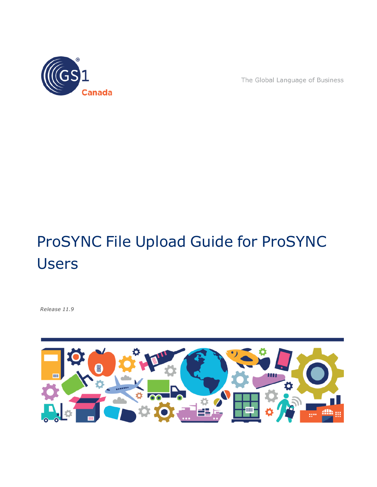

The Global Language of Business

# ProSYNC File Upload Guide for ProSYNC Users

*Release 11.9*

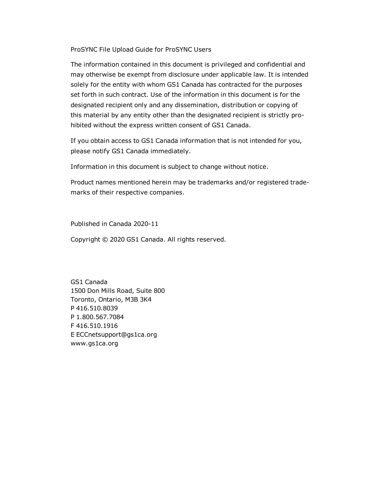ProSYNC File Upload Guide for ProSYNC Users

The information contained in this document is privileged and confidential and may otherwise be exempt from disclosure under applicable law. It is intended solely for the entity with whom GS1 Canada has contracted for the purposes set forth in such contract. Use of the information in this document is for the designated recipient only and any dissemination, distribution or copying of this material by any entity other than the designated recipient is strictly prohibited without the express written consent of GS1 Canada.

If you obtain access to GS1 Canada information that is not intended for you, please notify GS1 Canada immediately.

Information in this document is subject to change without notice.

Product names mentioned herein may be trademarks and/or registered trademarks of their respective companies.

Published in Canada 2020-11

Copyright © 2020 GS1 Canada. All rights reserved.

GS1 Canada 1500 Don Mills Road, Suite 800 Toronto, Ontario, M3B 3K4 P 416.510.8039 P 1.800.567.7084 F 416.510.1916 E ECCnetsupport@gs1ca.org www.gs1ca.org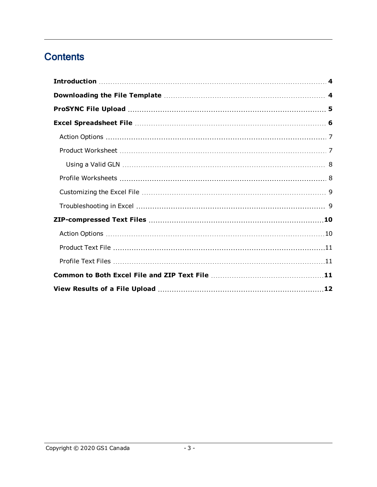# **Contents**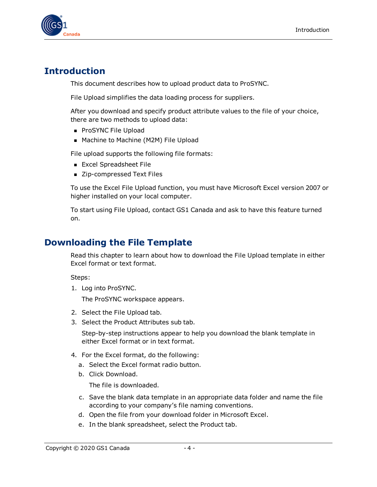

## <span id="page-3-0"></span>**Introduction**

This document describes how to upload product data to ProSYNC.

File Upload simplifies the data loading process for suppliers.

After you download and specify product attribute values to the file of your choice, there are two methods to upload data:

- ProSYNC File Upload
- Machine to Machine (M2M) File Upload

File upload supports the following file formats:

- **Excel Spreadsheet File**
- Zip-compressed Text Files

To use the Excel File Upload function, you must have Microsoft Excel version 2007 or higher installed on your local computer.

To start using File Upload, contact GS1 Canada and ask to have this feature turned on.

## <span id="page-3-1"></span>**Downloading the File Template**

Read this chapter to learn about how to download the File Upload template in either Excel format or text format.

Steps:

1. Log into ProSYNC.

The ProSYNC workspace appears.

- 2. Select the File Upload tab.
- 3. Select the Product Attributes sub tab.

Step-by-step instructions appear to help you download the blank template in either Excel format or in text format.

- 4. For the Excel format, do the following:
	- a. Select the Excel format radio button.
	- b. Click Download.

The file is downloaded.

- c. Save the blank data template in an appropriate data folder and name the file according to your company's file naming conventions.
- d. Open the file from your download folder in Microsoft Excel.
- e. In the blank spreadsheet, select the Product tab.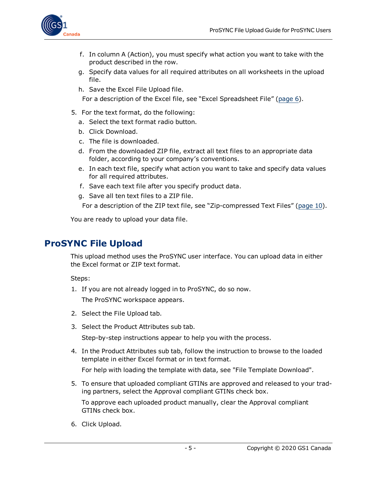

- f. In column A (Action), you must specify what action you want to take with the product described in the row.
- g. Specify data values for all required attributes on all worksheets in the upload file.
- h. Save the Excel File Upload file.

For a description of the Excel file, see "Excel Spreadsheet File" [\(page](#page-5-0) 6).

- 5. For the text format, do the following:
	- a. Select the text format radio button.
	- b. Click Download.
	- c. The file is downloaded.
	- d. From the downloaded ZIP file, extract all text files to an appropriate data folder, according to your company's conventions.
	- e. In each text file, specify what action you want to take and specify data values for all required attributes.
	- f. Save each text file after you specify product data.
	- g. Save all ten text files to a ZIP file.

For a description of the ZIP text file, see "Zip-compressed Text Files" [\(page](#page-9-0) 10).

You are ready to upload your data file.

## <span id="page-4-0"></span>**ProSYNC File Upload**

This upload method uses the ProSYNC user interface. You can upload data in either the Excel format or ZIP text format.

Steps:

- 1. If you are not already logged in to ProSYNC, do so now. The ProSYNC workspace appears.
- 2. Select the File Upload tab.
- 3. Select the Product Attributes sub tab.

Step-by-step instructions appear to help you with the process.

4. In the Product Attributes sub tab, follow the instruction to browse to the loaded template in either Excel format or in text format.

For help with loading the template with data, see "File Template Download".

5. To ensure that uploaded compliant GTINs are approved and released to your trading partners, select the Approval compliant GTINs check box.

To approve each uploaded product manually, clear the Approval compliant GTINs check box.

6. Click Upload.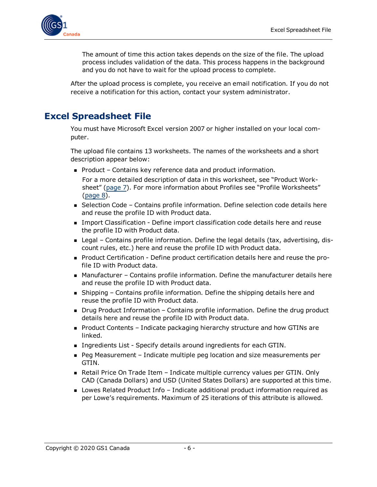

The amount of time this action takes depends on the size of the file. The upload process includes validation of the data. This process happens in the background and you do not have to wait for the upload process to complete.

After the upload process is complete, you receive an email notification. If you do not receive a notification for this action, contact your system administrator.

## <span id="page-5-0"></span>**Excel Spreadsheet File**

You must have Microsoft Excel version 2007 or higher installed on your local computer.

The upload file contains 13 worksheets. The names of the worksheets and a short description appear below:

- $\blacksquare$  Product Contains key reference data and product information.
	- For a more detailed description of data in this worksheet, see "Product Worksheet" [\(page](#page-6-1) 7). For more information about Profiles see "Profile Worksheets" [\(page](#page-7-1) 8).
- Selection Code Contains profile information. Define selection code details here and reuse the profile ID with Product data.
- **n** Import Classification Define import classification code details here and reuse the profile ID with Product data.
- **n** Legal Contains profile information. Define the legal details (tax, advertising, discount rules, etc.) here and reuse the profile ID with Product data.
- <sup>n</sup> Product Certification Define product certification details here and reuse the profile ID with Product data.
- Manufacturer Contains profile information. Define the manufacturer details here and reuse the profile ID with Product data.
- **n** Shipping Contains profile information. Define the shipping details here and reuse the profile ID with Product data.
- Drug Product Information Contains profile information. Define the drug product details here and reuse the profile ID with Product data.
- Product Contents Indicate packaging hierarchy structure and how GTINs are linked.
- **n** Ingredients List Specify details around ingredients for each GTIN.
- Peg Measurement Indicate multiple peg location and size measurements per GTIN.
- **Retail Price On Trade Item Indicate multiple currency values per GTIN. Only** CAD (Canada Dollars) and USD (United States Dollars) are supported at this time.
- Lowes Related Product Info Indicate additional product information required as per Lowe's requirements. Maximum of 25 iterations of this attribute is allowed.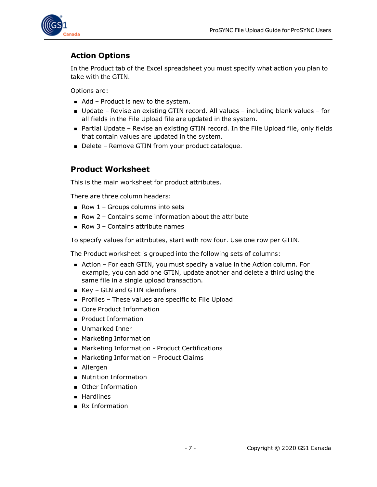

## <span id="page-6-0"></span>**Action Options**

In the Product tab of the Excel spreadsheet you must specify what action you plan to take with the GTIN.

Options are:

- $\blacksquare$  Add Product is new to the system.
- Update Revise an existing GTIN record. All values including blank values for all fields in the File Upload file are updated in the system.
- Partial Update Revise an existing GTIN record. In the File Upload file, only fields that contain values are updated in the system.
- Delete Remove GTIN from your product catalogue.

#### <span id="page-6-1"></span>**Product Worksheet**

This is the main worksheet for product attributes.

There are three column headers:

- Row  $1$  Groups columns into sets
- $\blacksquare$  Row 2 Contains some information about the attribute
- Row  $3$  Contains attribute names

To specify values for attributes, start with row four. Use one row per GTIN.

The Product worksheet is grouped into the following sets of columns:

- Action For each GTIN, you must specify a value in the Action column. For example, you can add one GTIN, update another and delete a third using the same file in a single upload transaction.
- $\blacksquare$  Key GLN and GTIN identifiers
- Profiles These values are specific to File Upload
- Core Product Information
- **Product Information**
- **Dramarked Inner**
- **n** Marketing Information
- Marketing Information Product Certifications
- Marketing Information Product Claims
- Allergen
- **Nutrition Information**
- **Deap** Other Information
- **Hardlines**
- $\blacksquare$  Rx Information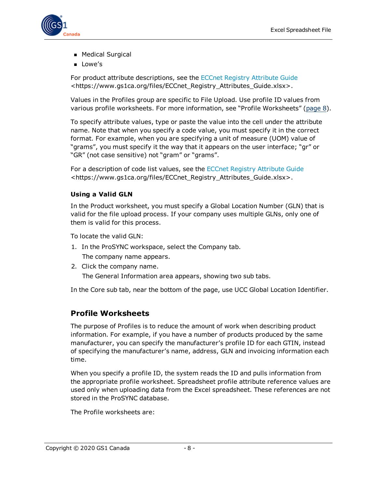

- **n** Medical Surgical
- Lowe's

For product attribute descriptions, see the ECCnet Registry [Attribute](https://www.gs1ca.org/files/ECCnet_Registry_Attributes_Guide.xlsx) Guide <https://www.gs1ca.org/files/ECCnet\_Registry\_Attributes\_Guide.xlsx>.

Values in the Profiles group are specific to File Upload. Use profile ID values from various profile worksheets. For more information, see "Profile Worksheets" [\(page](#page-7-1) 8).

To specify attribute values, type or paste the value into the cell under the attribute name. Note that when you specify a code value, you must specify it in the correct format. For example, when you are specifying a unit of measure (UOM) value of "grams", you must specify it the way that it appears on the user interface; "gr" or "GR" (not case sensitive) not "gram" or "grams".

For a description of code list values, see the ECCnet Registry [Attribute](https://www.gs1ca.org/files/ECCnet_Registry_Attributes_Guide.xlsx) Guide <https://www.gs1ca.org/files/ECCnet\_Registry\_Attributes\_Guide.xlsx>.

#### <span id="page-7-0"></span>**Using a Valid GLN**

In the Product worksheet, you must specify a Global Location Number (GLN) that is valid for the file upload process. If your company uses multiple GLNs, only one of them is valid for this process.

To locate the valid GLN:

- 1. In the ProSYNC workspace, select the Company tab. The company name appears.
- 2. Click the company name.

The General Information area appears, showing two sub tabs.

In the Core sub tab, near the bottom of the page, use UCC Global Location Identifier.

#### <span id="page-7-1"></span>**Profile Worksheets**

The purpose of Profiles is to reduce the amount of work when describing product information. For example, if you have a number of products produced by the same manufacturer, you can specify the manufacturer's profile ID for each GTIN, instead of specifying the manufacturer's name, address, GLN and invoicing information each time.

When you specify a profile ID, the system reads the ID and pulls information from the appropriate profile worksheet. Spreadsheet profile attribute reference values are used only when uploading data from the Excel spreadsheet. These references are not stored in the ProSYNC database.

The Profile worksheets are: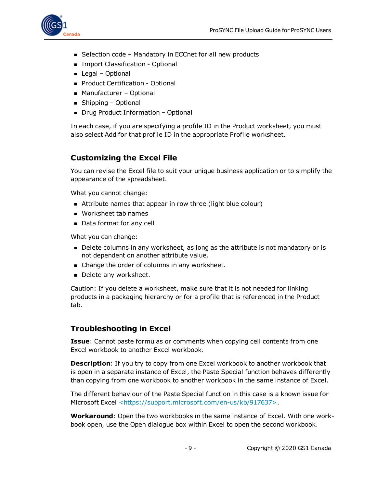

- $\blacksquare$  Selection code Mandatory in ECCnet for all new products
- **n** Import Classification Optional
- $\blacksquare$  Legal Optional
- **Product Certification Optional**
- Manufacturer Optional
- $\blacksquare$  Shipping Optional
- Drug Product Information Optional

In each case, if you are specifying a profile ID in the Product worksheet, you must also select Add for that profile ID in the appropriate Profile worksheet.

## <span id="page-8-0"></span>**Customizing the Excel File**

You can revise the Excel file to suit your unique business application or to simplify the appearance of the spreadsheet.

What you cannot change:

- **n** Attribute names that appear in row three (light blue colour)
- **Norksheet tab names**
- Data format for any cell

What you can change:

- Delete columns in any worksheet, as long as the attribute is not mandatory or is not dependent on another attribute value.
- Change the order of columns in any worksheet.
- Delete any worksheet.

Caution: If you delete a worksheet, make sure that it is not needed for linking products in a packaging hierarchy or for a profile that is referenced in the Product tab.

#### <span id="page-8-1"></span>**Troubleshooting in Excel**

**Issue**: Cannot paste formulas or comments when copying cell contents from one Excel workbook to another Excel workbook.

**Description**: If you try to copy from one Excel workbook to another workbook that is open in a separate instance of Excel, the Paste Special function behaves differently than copying from one workbook to another workbook in the same instance of Excel.

The different behaviour of the Paste Special function in this case is a known issue for Microsoft Excel [<https://support.microsoft.com/en-us/kb/917637>](https://support.microsoft.com/en-us/kb/917637).

**Workaround**: Open the two workbooks in the same instance of Excel. With one workbook open, use the Open dialogue box within Excel to open the second workbook.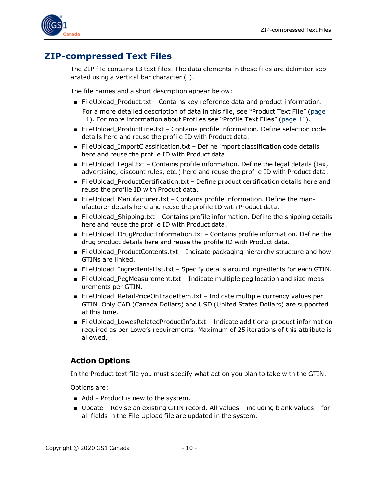

## <span id="page-9-0"></span>**ZIP-compressed Text Files**

The ZIP file contains 13 text files. The data elements in these files are delimiter separated using a vertical bar character (|).

The file names and a short description appear below:

- FileUpload\_Product.txt Contains key reference data and product information. For a more detailed description of data in this file, see "Product Text File" ([page](#page-10-0) [11\)](#page-10-0). For more information about Profiles see "Profile Text Files" ([page](#page-10-1) 11).
- FileUpload ProductLine.txt Contains profile information. Define selection code details here and reuse the profile ID with Product data.
- FileUpload\_ImportClassification.txt Define import classification code details here and reuse the profile ID with Product data.
- FileUpload\_Legal.txt Contains profile information. Define the legal details (tax, advertising, discount rules, etc.) here and reuse the profile ID with Product data.
- FileUpload\_ProductCertification.txt Define product certification details here and reuse the profile ID with Product data.
- FileUpload\_Manufacturer.txt Contains profile information. Define the manufacturer details here and reuse the profile ID with Product data.
- FileUpload\_Shipping.txt Contains profile information. Define the shipping details here and reuse the profile ID with Product data.
- FileUpload\_DrugProductInformation.txt Contains profile information. Define the drug product details here and reuse the profile ID with Product data.
- FileUpload\_ProductContents.txt Indicate packaging hierarchy structure and how GTINs are linked.
- FileUpload\_IngredientsList.txt Specify details around ingredients for each GTIN.
- FileUpload\_PegMeasurement.txt Indicate multiple peg location and size measurements per GTIN.
- FileUpload\_RetailPriceOnTradeItem.txt Indicate multiple currency values per GTIN. Only CAD (Canada Dollars) and USD (United States Dollars) are supported at this time.
- FileUpload\_LowesRelatedProductInfo.txt Indicate additional product information required as per Lowe's requirements. Maximum of 25 iterations of this attribute is allowed.

#### <span id="page-9-1"></span>**Action Options**

In the Product text file you must specify what action you plan to take with the GTIN.

Options are:

- $\blacksquare$  Add Product is new to the system.
- $\blacksquare$  Update Revise an existing GTIN record. All values including blank values for all fields in the File Upload file are updated in the system.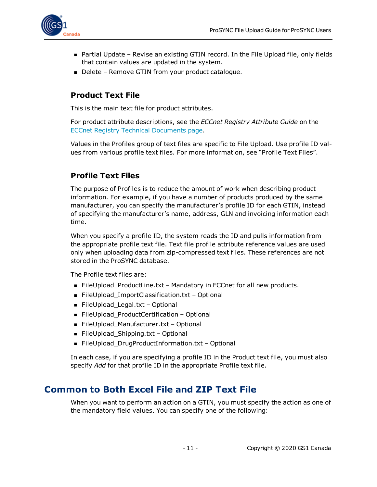

- **n** Partial Update Revise an existing GTIN record. In the File Upload file, only fields that contain values are updated in the system.
- Delete Remove GTIN from your product catalogue.

#### <span id="page-10-0"></span>**Product Text File**

This is the main text file for product attributes.

For product attribute descriptions, see the *ECCnet Registry Attribute Guide* on the ECCnet Registry Technical [Documents](https://www.gs1ca.org/apps/eccnet/documents.asp) page.

Values in the Profiles group of text files are specific to File Upload. Use profile ID values from various profile text files. For more information, see "Profile Text Files".

## <span id="page-10-1"></span>**Profile Text Files**

The purpose of Profiles is to reduce the amount of work when describing product information. For example, if you have a number of products produced by the same manufacturer, you can specify the manufacturer's profile ID for each GTIN, instead of specifying the manufacturer's name, address, GLN and invoicing information each time.

When you specify a profile ID, the system reads the ID and pulls information from the appropriate profile text file. Text file profile attribute reference values are used only when uploading data from zip-compressed text files. These references are not stored in the ProSYNC database.

The Profile text files are:

- FileUpload\_ProductLine.txt Mandatory in ECCnet for all new products.
- FileUpload\_ImportClassification.txt Optional
- FileUpload\_Legal.txt Optional
- FileUpload\_ProductCertification Optional
- FileUpload\_Manufacturer.txt Optional
- FileUpload\_Shipping.txt Optional
- FileUpload\_DrugProductInformation.txt Optional

In each case, if you are specifying a profile ID in the Product text file, you must also specify *Add* for that profile ID in the appropriate Profile text file.

## <span id="page-10-2"></span>**Common to Both Excel File and ZIP Text File**

When you want to perform an action on a GTIN, you must specify the action as one of the mandatory field values. You can specify one of the following: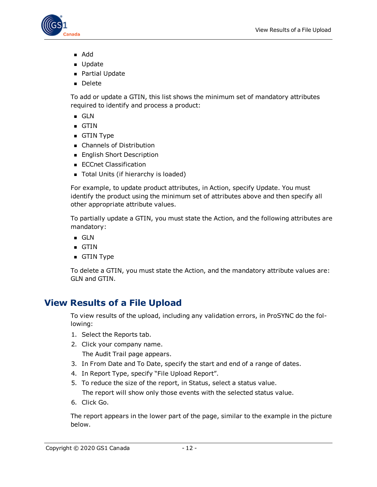

- <sup>n</sup> Add
- **D** Update
- **n** Partial Update
- <sup>n</sup> Delete

To add or update a GTIN, this list shows the minimum set of mandatory attributes required to identify and process a product:

- <sup>n</sup> GLN
- $-$  GTIN
- **g** GTIN Type
- **n** Channels of Distribution
- English Short Description
- **ECCnet Classification**
- Total Units (if hierarchy is loaded)

For example, to update product attributes, in Action, specify Update. You must identify the product using the minimum set of attributes above and then specify all other appropriate attribute values.

To partially update a GTIN, you must state the Action, and the following attributes are mandatory:

- <sup>n</sup> GLN
- $-$  GTIN
- **GTIN Type**

To delete a GTIN, you must state the Action, and the mandatory attribute values are: GLN and GTIN.

# <span id="page-11-0"></span>**View Results of a File Upload**

To view results of the upload, including any validation errors, in ProSYNC do the following:

- 1. Select the Reports tab.
- 2. Click your company name. The Audit Trail page appears.
- 3. In From Date and To Date, specify the start and end of a range of dates.
- 4. In Report Type, specify "File Upload Report".
- 5. To reduce the size of the report, in Status, select a status value.

The report will show only those events with the selected status value.

6. Click Go.

The report appears in the lower part of the page, similar to the example in the picture below.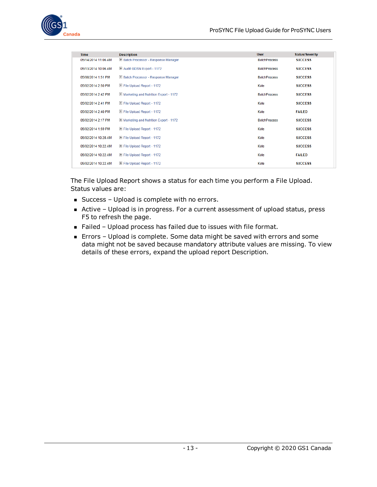

| <b>Time</b>         | <b>Description</b>                             | <b>User</b>         | <b>Status/Severity</b> |
|---------------------|------------------------------------------------|---------------------|------------------------|
| 05/14/2014 11:06 AM | E Batch Processor - Response Manager           | <b>RatchProcess</b> | <b>SUCCESS</b>         |
| 05/13/2014 10:06 AM | E Audit GDSN Export - 1172                     | <b>BatchProcess</b> | <b>SUCCESS</b>         |
| 05/08/2014 1:51 PM  | E Batch Processor - Response Manager           | <b>BatchProcess</b> | <b>SUCCESS</b>         |
| 05/02/2014 2:50 PM  | File Upload Report - 1172                      | Kate                | <b>SUCCESS</b>         |
| 05/02/2014 2:42 PM  | H Marketing and Nutrition Export - 1172        | <b>BatchProcess</b> | <b>SUCCESS</b>         |
| 05/02/2014 2:41 PM  | El File Upload Report - 1172                   | Kate                | <b>SUCCESS</b>         |
| 05/02/2014 2:40 PM  | E File Upload Report - 1172                    | Kate                | <b>FAILED</b>          |
| 05/02/2014 2:17 PM  | <b>H</b> Marketing and Nutrition Export - 1172 | <b>BatchProcess</b> | <b>SUCCESS</b>         |
| 05/02/2014 1:59 PM  | E File Upload Report - 1172                    | Kate                | <b>SUCCESS</b>         |
| 05/02/2014 10:28 AM | E File Upload Report - 1172                    | Kate                | <b>SUCCESS</b>         |
| 05/02/2014 10:22 AM | El File Upload Report - 1172                   | Kate                | <b>SUCCESS</b>         |
| 05/02/2014 10:22 AM | E File Upload Report - 1172                    | Kate                | <b>FAILED</b>          |
| 05/02/2014 10:22 AM | El File Upload Report - 1172                   | Kate                | <b>SUCCESS</b>         |
|                     |                                                |                     |                        |

The File Upload Report shows a status for each time you perform a File Upload. Status values are:

- Success Upload is complete with no errors.
- <sup>n</sup> Active Upload is in progress. For a current assessment of upload status, press F5 to refresh the page.
- Failed Upload process has failed due to issues with file format.
- <sup>n</sup> Errors Upload is complete. Some data might be saved with errors and some data might not be saved because mandatory attribute values are missing. To view details of these errors, expand the upload report Description.